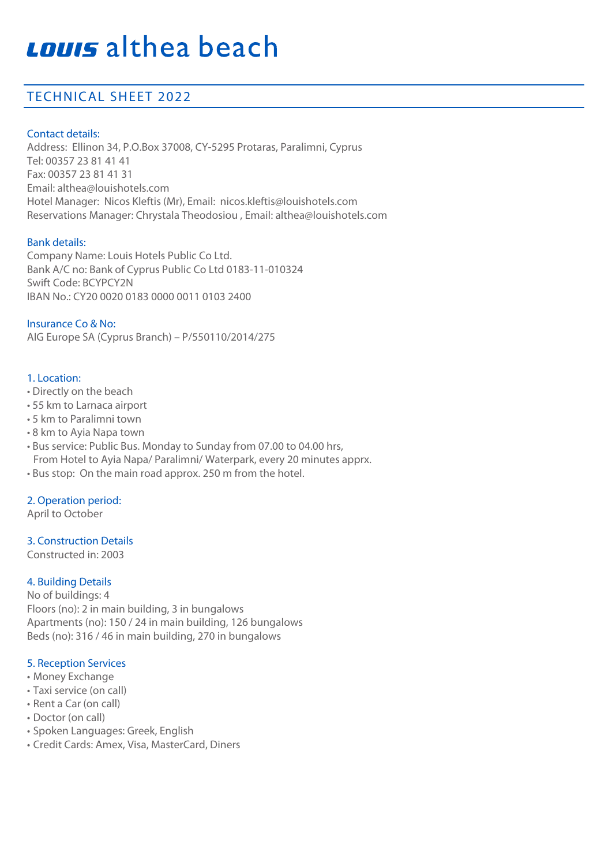# Louis althea beach

### TECHNICAL SHEET 2022

#### Contact details:

Address: Ellinon 34, P.O.Box 37008, CY-5295 Protaras, Paralimni, Cyprus Tel: 00357 23 81 41 41 Fax: 00357 23 81 41 31 Email: althea@louishotels.com Hotel Manager: Nicos Kleftis (Mr), Email: nicos.kleftis@louishotels.com Reservations Manager: Chrystala Theodosiou , Email: althea@louishotels.com

#### Bank details:

Company Name: Louis Hotels Public Co Ltd. Bank A/C no: Bank of Cyprus Public Co Ltd 0183-11-010324 Swift Code: BCYPCY2N IBAN No.: CY20 0020 0183 0000 0011 0103 2400

Insurance Co & No: AIG Europe SA (Cyprus Branch) – P/550110/2014/275

#### 1. Location:

- Directly on the beach
- 55 km to Larnaca airport
- 5 km to Paralimni town
- 8 km to Ayia Napa town
- Bus service: Public Bus. Monday to Sunday from 07.00 to 04.00 hrs, From Hotel to Ayia Napa/ Paralimni/ Waterpark, every 20 minutes apprx.
- Bus stop: On the main road approx. 250 m from the hotel.

#### 2. Operation period:

April to October

#### 3. Construction Details

Constructed in: 2003

#### 4. Building Details

No of buildings: 4 Floors (no): 2 in main building, 3 in bungalows Apartments (no): 150 / 24 in main building, 126 bungalows Beds (no): 316 / 46 in main building, 270 in bungalows

#### 5. Reception Services

- Money Exchange
- Taxi service (on call)
- Rent a Car (on call)
- Doctor (on call)
- Spoken Languages: Greek, English
- Credit Cards: Amex, Visa, MasterCard, Diners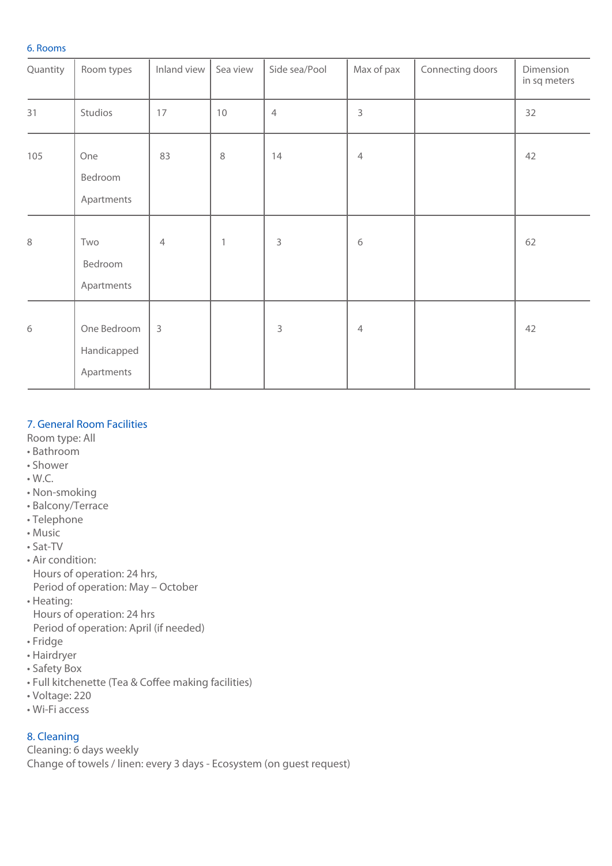#### 6. Rooms

| Quantity | Room types                               | Inland view             | Sea view     | Side sea/Pool  | Max of pax     | Connecting doors | Dimension<br>in sq meters |
|----------|------------------------------------------|-------------------------|--------------|----------------|----------------|------------------|---------------------------|
| 31       | Studios                                  | 17                      | 10           | $\overline{4}$ | $\mathsf{3}$   |                  | 32                        |
| 105      | One<br>Bedroom<br>Apartments             | 83                      | $\,8\,$      | 14             | $\overline{4}$ |                  | 42                        |
| $\,8\,$  | Two<br>Bedroom<br>Apartments             | $\overline{4}$          | $\mathbf{1}$ | $\mathsf 3$    | 6              |                  | 62                        |
| 6        | One Bedroom<br>Handicapped<br>Apartments | $\overline{\mathbf{3}}$ |              | 3              | $\overline{4}$ |                  | 42                        |

#### 7. General Room Facilities

Room type: All

- Bathroom
- Shower
- W.C.
- Non-smoking
- Balcony/Terrace
- Telephone
- Music
- Sat-TV
- Air condition: Hours of operation: 24 hrs, Period of operation: May – October
- Heating:
- Hours of operation: 24 hrs
- Period of operation: April (if needed)
- Fridge
- Hairdryer
- Safety Box
- Full kitchenette (Tea & Coffee making facilities)
- Voltage: 220
- Wi-Fi access

#### 8. Cleaning

Cleaning: 6 days weekly Change of towels / linen: every 3 days - Ecosystem (on guest request)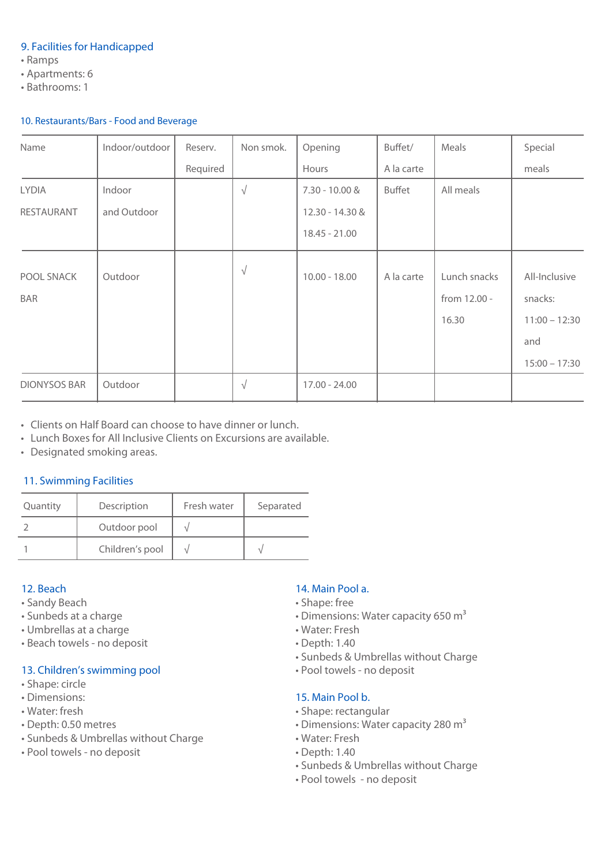#### 9. Facilities for Handicapped

- Ramps
- Apartments: 6
- Bathrooms: 1

#### 10. Restaurants/Bars - Food and Beverage

| Name                     | Indoor/outdoor | Reserv.  | Non smok. | Opening          | Buffet/       | Meals                                 | Special                                     |
|--------------------------|----------------|----------|-----------|------------------|---------------|---------------------------------------|---------------------------------------------|
|                          |                | Required |           | Hours            | A la carte    |                                       | meals                                       |
| <b>LYDIA</b>             | Indoor         |          | $\sqrt{}$ | $7.30 - 10.00$ & | <b>Buffet</b> | All meals                             |                                             |
| RESTAURANT               | and Outdoor    |          |           | 12.30 - 14.30 &  |               |                                       |                                             |
|                          |                |          |           | $18.45 - 21.00$  |               |                                       |                                             |
| POOL SNACK<br><b>BAR</b> | Outdoor        |          | $\sqrt{}$ | $10.00 - 18.00$  | A la carte    | Lunch snacks<br>from 12.00 -<br>16.30 | All-Inclusive<br>snacks:<br>$11:00 - 12:30$ |
|                          |                |          |           |                  |               |                                       | and<br>$15:00 - 17:30$                      |
| <b>DIONYSOS BAR</b>      | Outdoor        |          | $\sqrt{}$ | $17.00 - 24.00$  |               |                                       |                                             |

• Clients on Half Board can choose to have dinner or lunch.

- Lunch Boxes for All Inclusive Clients on Excursions are available.
- Designated smoking areas.

#### 11. Swimming Facilities

| Quantity | Description     | Fresh water | Separated |
|----------|-----------------|-------------|-----------|
|          | Outdoor pool    |             |           |
|          | Children's pool |             |           |

#### 12. Beach

- Sandy Beach
- Sunbeds at a charge
- Umbrellas at a charge
- Beach towels no deposit

#### 13. Children's swimming pool

- Shape: circle
- Dimensions:
- Water: fresh
- Depth: 0.50 metres
- Sunbeds & Umbrellas without Charge
- Pool towels no deposit

#### 14. Main Pool a.

- Shape: free
- $\cdot$  Dimensions: Water capacity 650 m<sup>3</sup>
- Water: Fresh
- Depth: 1.40
- Sunbeds & Umbrellas without Charge
- Pool towels no deposit

#### 15. Main Pool b.

- Shape: rectangular
- $\cdot$  Dimensions: Water capacity 280 m<sup>3</sup>
- Water: Fresh
- Depth: 1.40
- Sunbeds & Umbrellas without Charge
- Pool towels no deposit